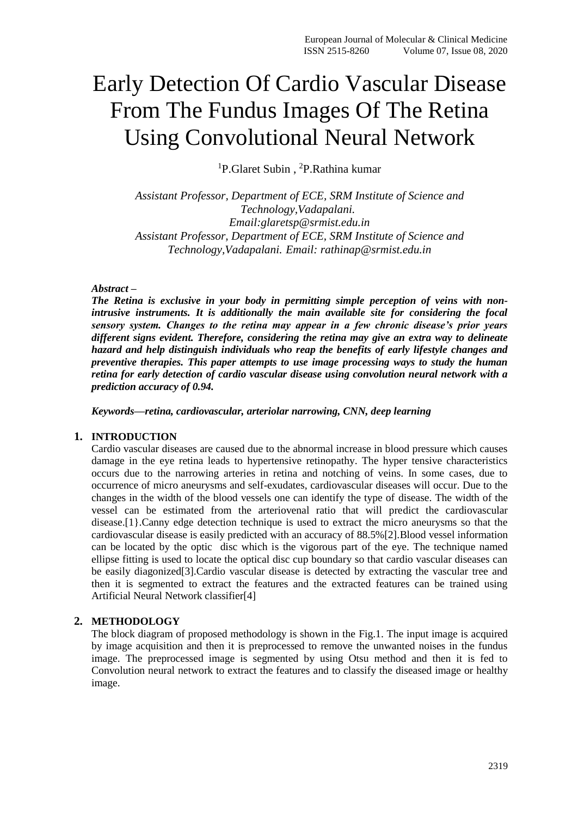# Early Detection Of Cardio Vascular Disease From The Fundus Images Of The Retina Using Convolutional Neural Network

<sup>1</sup>P.Glaret Subin, <sup>2</sup>P.Rathina kumar

*Assistant Professor, Department of ECE, SRM Institute of Science and Technology,Vadapalani. Email[:glaretsp@srmist.edu.in](mailto:glaretsp@srmist.edu.in) Assistant Professor, Department of ECE, SRM Institute of Science and Technology,Vadapalani. Email: rathinap@srmist.edu.in*

## *Abstract –*

*The Retina is exclusive in your body in permitting simple perception of veins with nonintrusive instruments. It is additionally the main available site for considering the focal sensory system. Changes to the retina may appear in a few chronic disease's prior years different signs evident. Therefore, considering the retina may give an extra way to delineate hazard and help distinguish individuals who reap the benefits of early lifestyle changes and preventive therapies. This paper attempts to use image processing ways to study the human retina for early detection of cardio vascular disease using convolution neural network with a prediction accuracy of 0.94.*

*Keywords—retina, cardiovascular, arteriolar narrowing, CNN, deep learning*

## **1. INTRODUCTION**

Cardio vascular diseases are caused due to the abnormal increase in blood pressure which causes damage in the eye retina leads to hypertensive retinopathy. The hyper tensive characteristics occurs due to the narrowing arteries in retina and notching of veins. In some cases, due to occurrence of micro aneurysms and self-exudates, cardiovascular diseases will occur. Due to the changes in the width of the blood vessels one can identify the type of disease. The width of the vessel can be estimated from the arteriovenal ratio that will predict the cardiovascular disease.[1}.Canny edge detection technique is used to extract the micro aneurysms so that the cardiovascular disease is easily predicted with an accuracy of 88.5%[2].Blood vessel information can be located by the optic disc which is the vigorous part of the eye. The technique named ellipse fitting is used to locate the optical disc cup boundary so that cardio vascular diseases can be easily diagonized[3].Cardio vascular disease is detected by extracting the vascular tree and then it is segmented to extract the features and the extracted features can be trained using Artificial Neural Network classifier[4]

## **2. METHODOLOGY**

The block diagram of proposed methodology is shown in the Fig.1. The input image is acquired by image acquisition and then it is preprocessed to remove the unwanted noises in the fundus image. The preprocessed image is segmented by using Otsu method and then it is fed to Convolution neural network to extract the features and to classify the diseased image or healthy image.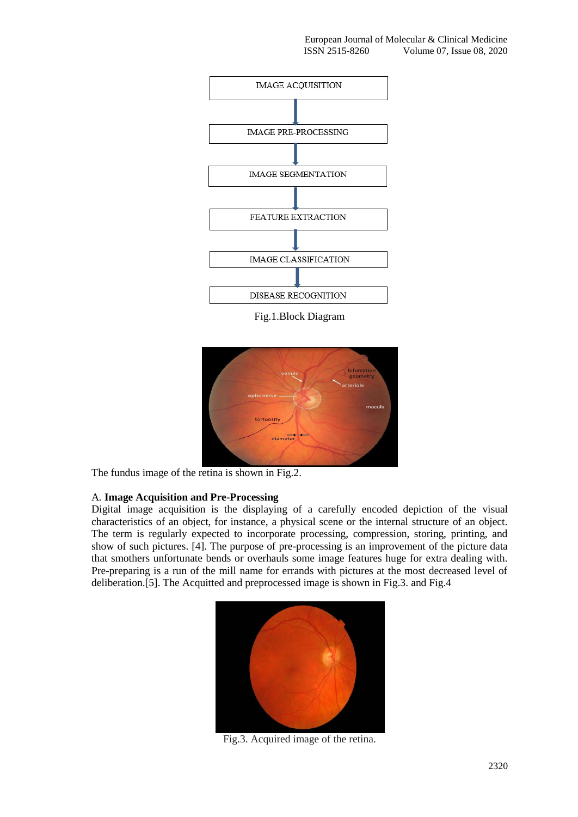

Fig.1.Block Diagram



The fundus image of the retina is shown in Fig.2.

## A*.* **Image Acquisition and Pre-Processing**

Digital image acquisition is the displaying of a carefully encoded depiction of the visual characteristics of an object, for instance, a physical scene or the internal structure of an object. The term is regularly expected to incorporate processing, compression, storing, printing, and show of such pictures. [4]. The purpose of pre-processing is an improvement of the picture data that smothers unfortunate bends or overhauls some image features huge for extra dealing with. Pre-preparing is a run of the mill name for errands with pictures at the most decreased level of deliberation.[5]. The Acquitted and preprocessed image is shown in Fig.3. and Fig.4



Fig.3. Acquired image of the retina.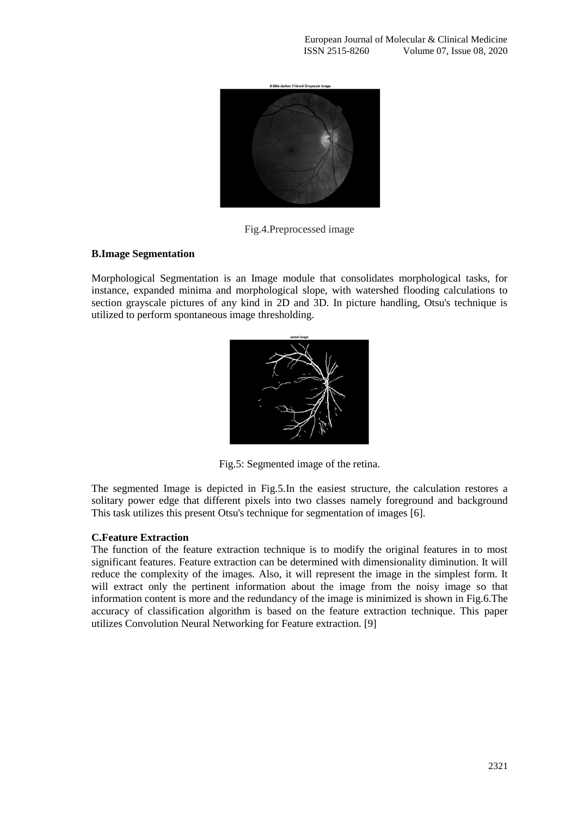

Fig.4.Preprocessed image

## **B.Image Segmentation**

Morphological Segmentation is an Image module that consolidates morphological tasks, for instance, expanded minima and morphological slope, with watershed flooding calculations to section grayscale pictures of any kind in 2D and 3D. In picture handling, Otsu's technique is utilized to perform spontaneous image thresholding.



Fig.5: Segmented image of the retina.

The segmented Image is depicted in Fig.5.In the easiest structure, the calculation restores a solitary power edge that different pixels into two classes namely foreground and background This task utilizes this present Otsu's technique for segmentation of images [6].

## **C.Feature Extraction**

The function of the feature extraction technique is to modify the original features in to most significant features. Feature extraction can be determined with dimensionality diminution. It will reduce the complexity of the images. Also, it will represent the image in the simplest form. It will extract only the pertinent information about the image from the noisy image so that information content is more and the redundancy of the image is minimized is shown in Fig.6.The accuracy of classification algorithm is based on the feature extraction technique. This paper utilizes Convolution Neural Networking for Feature extraction. [9]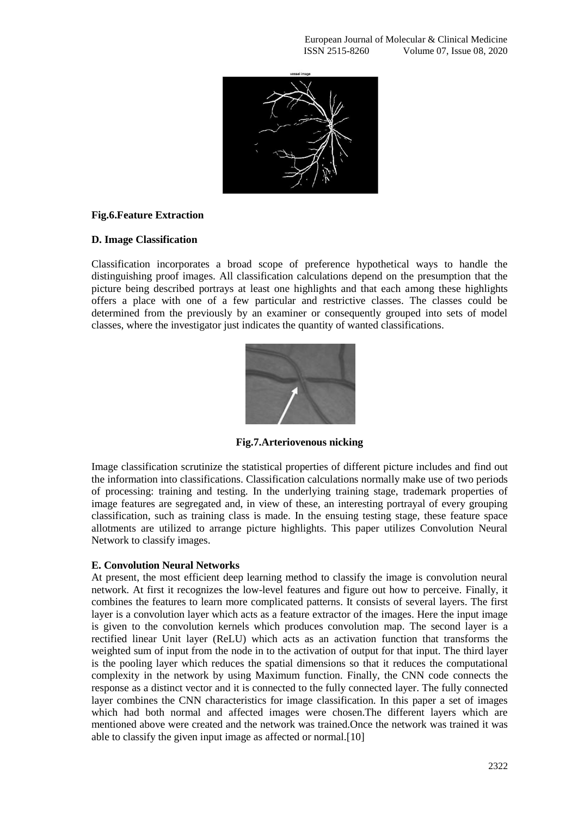

## **Fig.6.Feature Extraction**

## **D. Image Classification**

Classification incorporates a broad scope of preference hypothetical ways to handle the distinguishing proof images. All classification calculations depend on the presumption that the picture being described portrays at least one highlights and that each among these highlights offers a place with one of a few particular and restrictive classes. The classes could be determined from the previously by an examiner or consequently grouped into sets of model classes, where the investigator just indicates the quantity of wanted classifications.



**Fig.7.Arteriovenous nicking**

Image classification scrutinize the statistical properties of different picture includes and find out the information into classifications. Classification calculations normally make use of two periods of processing: training and testing. In the underlying training stage, trademark properties of image features are segregated and, in view of these, an interesting portrayal of every grouping classification, such as training class is made. In the ensuing testing stage, these feature space allotments are utilized to arrange picture highlights. This paper utilizes Convolution Neural Network to classify images.

## **E. Convolution Neural Networks**

At present, the most efficient deep learning method to classify the image is convolution neural network. At first it recognizes the low-level features and figure out how to perceive. Finally, it combines the features to learn more complicated patterns. It consists of several layers. The first layer is a convolution layer which acts as a feature extractor of the images. Here the input image is given to the convolution kernels which produces convolution map. The second layer is a rectified linear Unit layer (ReLU) which acts as an activation function that transforms the weighted sum of input from the node in to the activation of output for that input. The third layer is the pooling layer which reduces the spatial dimensions so that it reduces the computational complexity in the network by using Maximum function. Finally, the CNN code connects the response as a distinct vector and it is connected to the fully connected layer. The fully connected layer combines the CNN characteristics for image classification. In this paper a set of images which had both normal and affected images were chosen.The different layers which are mentioned above were created and the network was trained.Once the network was trained it was able to classify the given input image as affected or normal.[10]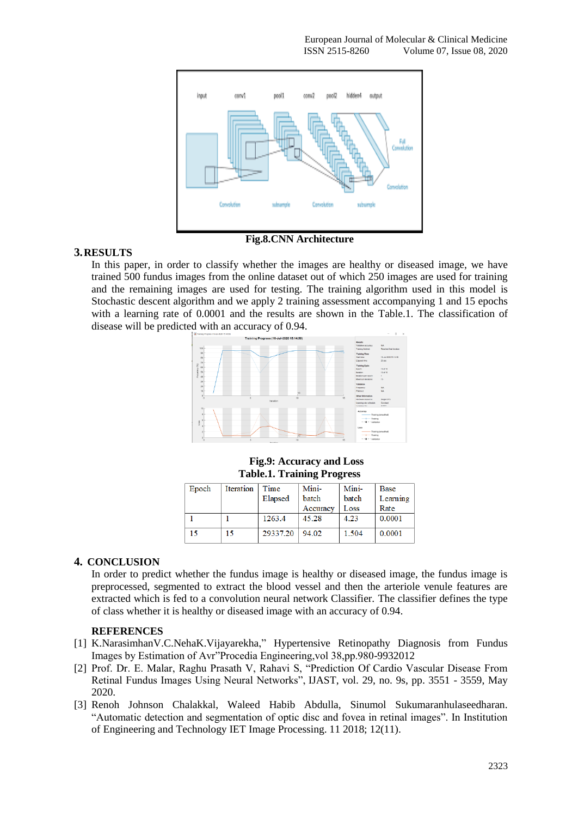

## **Fig.8.CNN Architecture**

## **3.RESULTS**

In this paper, in order to classify whether the images are healthy or diseased image, we have trained 500 fundus images from the online dataset out of which 250 images are used for training and the remaining images are used for testing. The training algorithm used in this model is Stochastic descent algorithm and we apply 2 training assessment accompanying 1 and 15 epochs with a learning rate of 0.0001 and the results are shown in the Table.1. The classification of disease will be predicted with an accuracy of 0.94.



#### **Fig.9: Accuracy and Loss Table.1. Training Progress**

| Epoch | Iteration | Time     | Mini-    | Mini- | <b>Base</b> |
|-------|-----------|----------|----------|-------|-------------|
|       |           | Elapsed  | batch    | batch | Learning    |
|       |           |          | Accuracy | Loss  | Rate        |
|       |           | 1263.4   | 45.28    | 4.23  | 0.0001      |
| 15    |           | 29337.20 | 94.02    | 1.504 | 0.0001      |

## **4. CONCLUSION**

In order to predict whether the fundus image is healthy or diseased image, the fundus image is preprocessed, segmented to extract the blood vessel and then the arteriole venule features are extracted which is fed to a convolution neural network Classifier. The classifier defines the type of class whether it is healthy or diseased image with an accuracy of 0.94.

## **REFERENCES**

- [1] [K.NarasimhanV.C.NehaK.Vijayarekha,](https://www.sciencedirect.com/science/article/pii/S1877705812020371#!)" Hypertensive Retinopathy Diagnosis from Fundus Images by Estimation of Avr"Procedia Engineering,vol 38,pp.980-9932012
- [2] Prof. Dr. E. Malar, Raghu Prasath V, Rahavi S, "Prediction Of Cardio Vascular Disease From Retinal Fundus Images Using Neural Networks", IJAST, vol. 29, no. 9s, pp. 3551 - 3559, May 2020.
- [3] Renoh Johnson Chalakkal, Waleed Habib Abdulla, Sinumol Sukumaranhulaseedharan. "Automatic detection and segmentation of optic disc and fovea in retinal images". In Institution of Engineering and Technology IET Image Processing. 11 2018; 12(11).